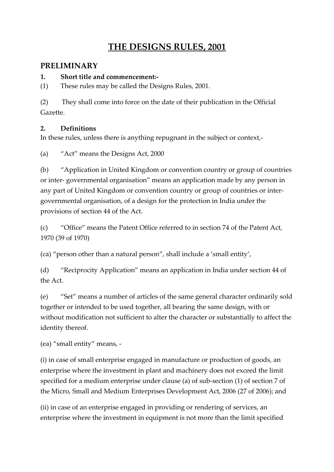# **THE DESIGNS RULES, 2001**

# **PRELIMINARY**

### **1. Short title and commencement:-**

(1) These rules may be called the Designs Rules, 2001.

(2) They shall come into force on the date of their publication in the Official Gazette.

# **2. Definitions**

In these rules, unless there is anything repugnant in the subject or context,-

(a) "Act" means the Designs Act, 2000

(b) "Application in United Kingdom or convention country or group of countries or inter- governmental organisation" means an application made by any person in any part of United Kingdom or convention country or group of countries or intergovernmental organisation, of a design for the protection in India under the provisions of section 44 of the Act.

(c) "Office" means the Patent Office referred to in section 74 of the Patent Act, 1970 (39 of 1970)

(ca) "person other than a natural person", shall include a 'small entity',

(d) "Reciprocity Application" means an application in India under section 44 of the Act.

(e) "Set" means a number of articles of the same general character ordinarily sold together or intended to be used together, all bearing the same design, with or without modification not sufficient to alter the character or substantially to affect the identity thereof.

(ea) "small entity" means, -

(i) in case of small enterprise engaged in manufacture or production of goods, an enterprise where the investment in plant and machinery does not exceed the limit specified for a medium enterprise under clause (a) of sub-section (1) of section 7 of the Micro, Small and Medium Enterprises Development Act, 2006 (27 of 2006); and

(ii) in case of an enterprise engaged in providing or rendering of services, an enterprise where the investment in equipment is not more than the limit specified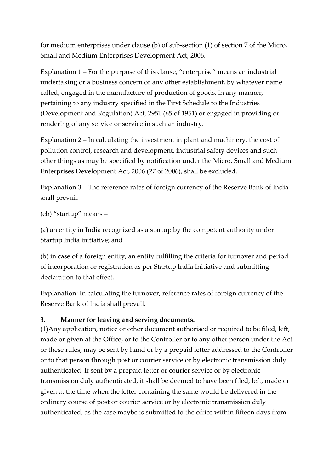for medium enterprises under clause (b) of sub-section (1) of section 7 of the Micro, Small and Medium Enterprises Development Act, 2006.

Explanation 1 – For the purpose of this clause, "enterprise" means an industrial undertaking or a business concern or any other establishment, by whatever name called, engaged in the manufacture of production of goods, in any manner, pertaining to any industry specified in the First Schedule to the Industries (Development and Regulation) Act, 2951 (65 of 1951) or engaged in providing or rendering of any service or service in such an industry.

Explanation 2 – In calculating the investment in plant and machinery, the cost of pollution control, research and development, industrial safety devices and such other things as may be specified by notification under the Micro, Small and Medium Enterprises Development Act, 2006 (27 of 2006), shall be excluded.

Explanation 3 – The reference rates of foreign currency of the Reserve Bank of India shall prevail.

(eb) "startup" means –

(a) an entity in India recognized as a startup by the competent authority under Startup India initiative; and

(b) in case of a foreign entity, an entity fulfilling the criteria for turnover and period of incorporation or registration as per Startup India Initiative and submitting declaration to that effect.

Explanation: In calculating the turnover, reference rates of foreign currency of the Reserve Bank of India shall prevail.

#### **3. Manner for leaving and serving documents.**

(1)Any application, notice or other document authorised or required to be filed, left, made or given at the Office, or to the Controller or to any other person under the Act or these rules, may be sent by hand or by a prepaid letter addressed to the Controller or to that person through post or courier service or by electronic transmission duly authenticated. If sent by a prepaid letter or courier service or by electronic transmission duly authenticated, it shall be deemed to have been filed, left, made or given at the time when the letter containing the same would be delivered in the ordinary course of post or courier service or by electronic transmission duly authenticated, as the case maybe is submitted to the office within fifteen days from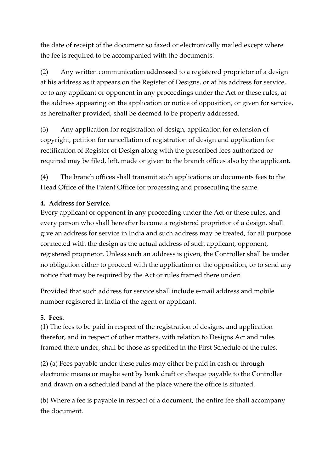the date of receipt of the document so faxed or electronically mailed except where the fee is required to be accompanied with the documents.

(2) Any written communication addressed to a registered proprietor of a design at his address as it appears on the Register of Designs, or at his address for service, or to any applicant or opponent in any proceedings under the Act or these rules, at the address appearing on the application or notice of opposition, or given for service, as hereinafter provided, shall be deemed to be properly addressed.

(3) Any application for registration of design, application for extension of copyright, petition for cancellation of registration of design and application for rectification of Register of Design along with the prescribed fees authorized or required may be filed, left, made or given to the branch offices also by the applicant.

(4) The branch offices shall transmit such applications or documents fees to the Head Office of the Patent Office for processing and prosecuting the same.

# **4. Address for Service.**

Every applicant or opponent in any proceeding under the Act or these rules, and every person who shall hereafter become a registered proprietor of a design, shall give an address for service in India and such address may be treated, for all purpose connected with the design as the actual address of such applicant, opponent, registered proprietor. Unless such an address is given, the Controller shall be under no obligation either to proceed with the application or the opposition, or to send any notice that may be required by the Act or rules framed there under:

Provided that such address for service shall include e-mail address and mobile number registered in India of the agent or applicant.

### **5. Fees.**

(1) The fees to be paid in respect of the registration of designs, and application therefor, and in respect of other matters, with relation to Designs Act and rules framed there under, shall be those as specified in the First Schedule of the rules.

(2) (a) Fees payable under these rules may either be paid in cash or through electronic means or maybe sent by bank draft or cheque payable to the Controller and drawn on a scheduled band at the place where the office is situated.

(b) Where a fee is payable in respect of a document, the entire fee shall accompany the document.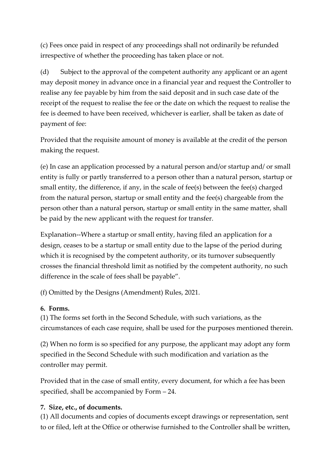(c) Fees once paid in respect of any proceedings shall not ordinarily be refunded irrespective of whether the proceeding has taken place or not.

(d) Subject to the approval of the competent authority any applicant or an agent may deposit money in advance once in a financial year and request the Controller to realise any fee payable by him from the said deposit and in such case date of the receipt of the request to realise the fee or the date on which the request to realise the fee is deemed to have been received, whichever is earlier, shall be taken as date of payment of fee:

Provided that the requisite amount of money is available at the credit of the person making the request.

(e) In case an application processed by a natural person and/or startup and/ or small entity is fully or partly transferred to a person other than a natural person, startup or small entity, the difference, if any, in the scale of fee(s) between the fee(s) charged from the natural person, startup or small entity and the fee(s) chargeable from the person other than a natural person, startup or small entity in the same matter, shall be paid by the new applicant with the request for transfer.

Explanation--Where a startup or small entity, having filed an application for a design, ceases to be a startup or small entity due to the lapse of the period during which it is recognised by the competent authority, or its turnover subsequently crosses the financial threshold limit as notified by the competent authority, no such difference in the scale of fees shall be payable".

(f) Omitted by the Designs (Amendment) Rules, 2021.

### **6. Forms.**

(1) The forms set forth in the Second Schedule, with such variations, as the circumstances of each case require, shall be used for the purposes mentioned therein.

(2) When no form is so specified for any purpose, the applicant may adopt any form specified in the Second Schedule with such modification and variation as the controller may permit.

Provided that in the case of small entity, every document, for which a fee has been specified, shall be accompanied by Form – 24.

# **7. Size, etc., of documents.**

(1) All documents and copies of documents except drawings or representation, sent to or filed, left at the Office or otherwise furnished to the Controller shall be written,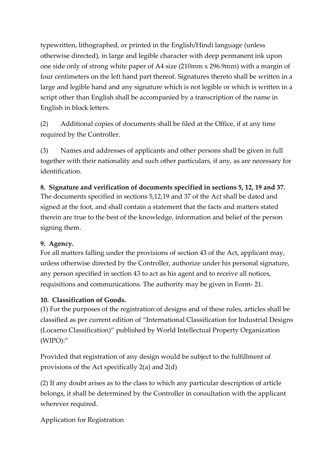typewritten, lithographed, or printed in the English/Hindi language (unless otherwise directed), in large and legible character with deep permanent ink upon one side only of strong white paper of A4 size (210mm x 296.9mm) with a margin of four centimeters on the left hand part thereof. Signatures thereto shall be written in a large and legible hand and any signature which is not legible or which is written in a script other than English shall be accompanied by a transcription of the name in English in block letters.

(2) Additional copies of documents shall be filed at the Office, if at any time required by the Controller.

(3) Names and addresses of applicants and other persons shall be given in full together with their nationality and such other particulars, if any, as are necessary for identification.

# **8. Signature and verification of documents specified in sections 5, 12, 19 and 37.**

The documents specified in sections 5,12,19 and 37 of the Act shall be dated and signed at the foot, and shall contain a statement that the facts and matters stated therein are true to the best of the knowledge, information and belief of the person signing them.

### **9. Agency.**

For all matters falling under the provisions of section 43 of the Act, applicant may, unless otherwise directed by the Controller, authorize under his personal signature, any person specified in section 43 to act as his agent and to receive all notices, requisitions and communications. The authority may be given in Form- 21.

### **10. Classification of Goods.**

(1) For the purposes of the registration of designs and of these rules, articles shall be classified as per current edition of "International Classification for Industrial Designs (Locarno Classification)" published by World Intellectual Property Organization (WIPO):"

Provided that registration of any design would be subject to the fulfillment of provisions of the Act specifically 2(a) and 2(d)

(2) If any doubt arises as to the class to which any particular description of article belongs, it shall be determined by the Controller in consultation with the applicant wherever required.

Application for Registration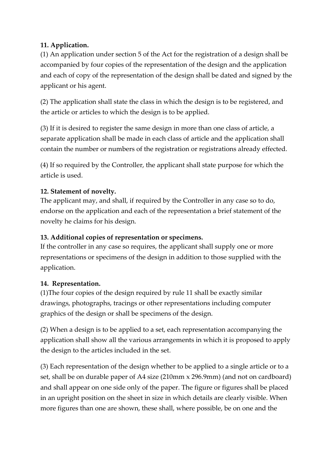### **11. Application.**

(1) An application under section 5 of the Act for the registration of a design shall be accompanied by four copies of the representation of the design and the application and each of copy of the representation of the design shall be dated and signed by the applicant or his agent.

(2) The application shall state the class in which the design is to be registered, and the article or articles to which the design is to be applied.

(3) If it is desired to register the same design in more than one class of article, a separate application shall be made in each class of article and the application shall contain the number or numbers of the registration or registrations already effected.

(4) If so required by the Controller, the applicant shall state purpose for which the article is used.

# **12. Statement of novelty.**

The applicant may, and shall, if required by the Controller in any case so to do, endorse on the application and each of the representation a brief statement of the novelty he claims for his design.

### **13. Additional copies of representation or specimens.**

If the controller in any case so requires, the applicant shall supply one or more representations or specimens of the design in addition to those supplied with the application.

### **14. Representation.**

(1)The four copies of the design required by rule 11 shall be exactly similar drawings, photographs, tracings or other representations including computer graphics of the design or shall be specimens of the design.

(2) When a design is to be applied to a set, each representation accompanying the application shall show all the various arrangements in which it is proposed to apply the design to the articles included in the set.

(3) Each representation of the design whether to be applied to a single article or to a set, shall be on durable paper of A4 size (210mm x 296.9mm) (and not on cardboard) and shall appear on one side only of the paper. The figure or figures shall be placed in an upright position on the sheet in size in which details are clearly visible. When more figures than one are shown, these shall, where possible, be on one and the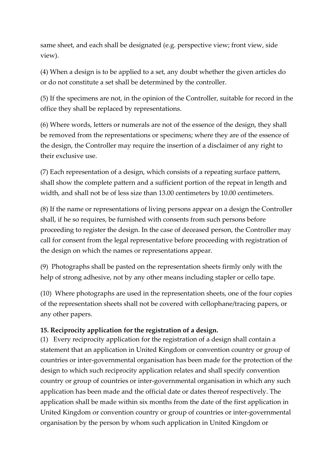same sheet, and each shall be designated (e.g. perspective view; front view, side view).

(4) When a design is to be applied to a set, any doubt whether the given articles do or do not constitute a set shall be determined by the controller.

(5) If the specimens are not, in the opinion of the Controller, suitable for record in the office they shall be replaced by representations.

(6) Where words, letters or numerals are not of the essence of the design, they shall be removed from the representations or specimens; where they are of the essence of the design, the Controller may require the insertion of a disclaimer of any right to their exclusive use.

(7) Each representation of a design, which consists of a repeating surface pattern, shall show the complete pattern and a sufficient portion of the repeat in length and width, and shall not be of less size than 13.00 centimeters by 10.00 centimeters.

(8) If the name or representations of living persons appear on a design the Controller shall, if he so requires, be furnished with consents from such persons before proceeding to register the design. In the case of deceased person, the Controller may call for consent from the legal representative before proceeding with registration of the design on which the names or representations appear.

(9) Photographs shall be pasted on the representation sheets firmly only with the help of strong adhesive, not by any other means including stapler or cello tape.

(10) Where photographs are used in the representation sheets, one of the four copies of the representation sheets shall not be covered with cellophane/tracing papers, or any other papers.

### **15. Reciprocity application for the registration of a design.**

(1) Every reciprocity application for the registration of a design shall contain a statement that an application in United Kingdom or convention country or group of countries or inter-governmental organisation has been made for the protection of the design to which such reciprocity application relates and shall specify convention country or group of countries or inter-governmental organisation in which any such application has been made and the official date or dates thereof respectively. The application shall be made within six months from the date of the first application in United Kingdom or convention country or group of countries or inter-governmental organisation by the person by whom such application in United Kingdom or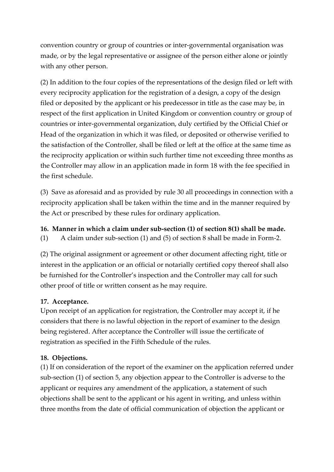convention country or group of countries or inter-governmental organisation was made, or by the legal representative or assignee of the person either alone or jointly with any other person.

(2) In addition to the four copies of the representations of the design filed or left with every reciprocity application for the registration of a design, a copy of the design filed or deposited by the applicant or his predecessor in title as the case may be, in respect of the first application in United Kingdom or convention country or group of countries or inter-governmental organization, duly certified by the Official Chief or Head of the organization in which it was filed, or deposited or otherwise verified to the satisfaction of the Controller, shall be filed or left at the office at the same time as the reciprocity application or within such further time not exceeding three months as the Controller may allow in an application made in form 18 with the fee specified in the first schedule.

(3) Save as aforesaid and as provided by rule 30 all proceedings in connection with a reciprocity application shall be taken within the time and in the manner required by the Act or prescribed by these rules for ordinary application.

#### **16. Manner in which a claim under sub-section (1) of section 8(1) shall be made.**

(1) A claim under sub-section (1) and (5) of section 8 shall be made in Form-2.

(2) The original assignment or agreement or other document affecting right, title or interest in the application or an official or notarially certified copy thereof shall also be furnished for the Controller's inspection and the Controller may call for such other proof of title or written consent as he may require.

### **17. Acceptance.**

Upon receipt of an application for registration, the Controller may accept it, if he considers that there is no lawful objection in the report of examiner to the design being registered. After acceptance the Controller will issue the certificate of registration as specified in the Fifth Schedule of the rules.

### **18. Objections.**

(1) If on consideration of the report of the examiner on the application referred under sub-section (1) of section 5, any objection appear to the Controller is adverse to the applicant or requires any amendment of the application, a statement of such objections shall be sent to the applicant or his agent in writing, and unless within three months from the date of official communication of objection the applicant or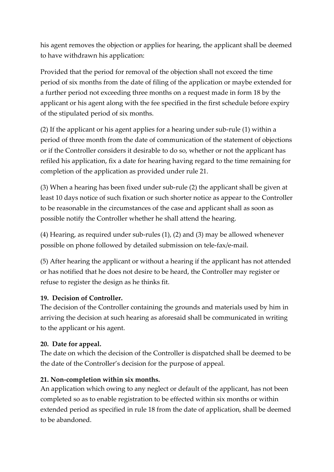his agent removes the objection or applies for hearing, the applicant shall be deemed to have withdrawn his application:

Provided that the period for removal of the objection shall not exceed the time period of six months from the date of filing of the application or maybe extended for a further period not exceeding three months on a request made in form 18 by the applicant or his agent along with the fee specified in the first schedule before expiry of the stipulated period of six months.

(2) If the applicant or his agent applies for a hearing under sub-rule (1) within a period of three month from the date of communication of the statement of objections or if the Controller considers it desirable to do so, whether or not the applicant has refiled his application, fix a date for hearing having regard to the time remaining for completion of the application as provided under rule 21.

(3) When a hearing has been fixed under sub-rule (2) the applicant shall be given at least 10 days notice of such fixation or such shorter notice as appear to the Controller to be reasonable in the circumstances of the case and applicant shall as soon as possible notify the Controller whether he shall attend the hearing.

(4) Hearing, as required under sub-rules (1), (2) and (3) may be allowed whenever possible on phone followed by detailed submission on tele-fax/e-mail.

(5) After hearing the applicant or without a hearing if the applicant has not attended or has notified that he does not desire to be heard, the Controller may register or refuse to register the design as he thinks fit.

#### **19. Decision of Controller.**

The decision of the Controller containing the grounds and materials used by him in arriving the decision at such hearing as aforesaid shall be communicated in writing to the applicant or his agent.

#### **20. Date for appeal.**

The date on which the decision of the Controller is dispatched shall be deemed to be the date of the Controller's decision for the purpose of appeal.

#### **21. Non-completion within six months.**

An application which owing to any neglect or default of the applicant, has not been completed so as to enable registration to be effected within six months or within extended period as specified in rule 18 from the date of application, shall be deemed to be abandoned.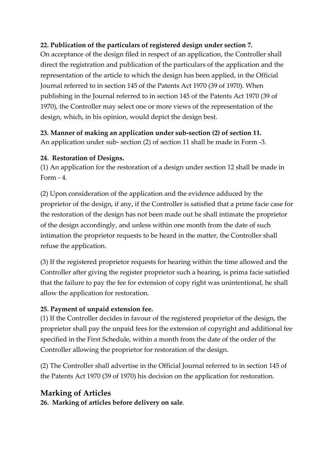### **22. Publication of the particulars of registered design under section 7.**

On acceptance of the design filed in respect of an application, the Controller shall direct the registration and publication of the particulars of the application and the representation of the article to which the design has been applied, in the Official Journal referred to in section 145 of the Patents Act 1970 (39 of 1970). When publishing in the Journal referred to in section 145 of the Patents Act 1970 (39 of 1970), the Controller may select one or more views of the representation of the design, which, in his opinion, would depict the design best.

### **23. Manner of making an application under sub-section (2) of section 11.**

An application under sub- section (2) of section 11 shall be made in Form -3.

### **24. Restoration of Designs.**

(1) An application for the restoration of a design under section 12 shall be made in Form - 4.

(2) Upon consideration of the application and the evidence adduced by the proprietor of the design, if any, if the Controller is satisfied that a prime facie case for the restoration of the design has not been made out he shall intimate the proprietor of the design accordingly, and unless within one month from the date of such intimation the proprietor requests to be heard in the matter, the Controller shall refuse the application.

(3) If the registered proprietor requests for hearing within the time allowed and the Controller after giving the register proprietor such a hearing, is prima facie satisfied that the failure to pay the fee for extension of copy right was unintentional, he shall allow the application for restoration.

# **25. Payment of unpaid extension fee.**

(1) If the Controller decides in favour of the registered proprietor of the design, the proprietor shall pay the unpaid fees for the extension of copyright and additional fee specified in the First Schedule, within a month from the date of the order of the Controller allowing the proprietor for restoration of the design.

(2) The Controller shall advertise in the Official Journal referred to in section 145 of the Patents Act 1970 (39 of 1970) his decision on the application for restoration.

# **Marking of Articles**

**26. Marking of articles before delivery on sale**.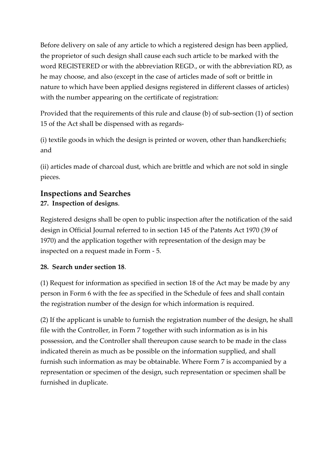Before delivery on sale of any article to which a registered design has been applied, the proprietor of such design shall cause each such article to be marked with the word REGISTERED or with the abbreviation REGD., or with the abbreviation RD, as he may choose, and also (except in the case of articles made of soft or brittle in nature to which have been applied designs registered in different classes of articles) with the number appearing on the certificate of registration:

Provided that the requirements of this rule and clause (b) of sub-section (1) of section 15 of the Act shall be dispensed with as regards-

(i) textile goods in which the design is printed or woven, other than handkerchiefs; and

(ii) articles made of charcoal dust, which are brittle and which are not sold in single pieces.

# **Inspections and Searches 27. Inspection of designs**.

Registered designs shall be open to public inspection after the notification of the said design in Official Journal referred to in section 145 of the Patents Act 1970 (39 of 1970) and the application together with representation of the design may be inspected on a request made in Form - 5.

# **28. Search under section 18**.

(1) Request for information as specified in section 18 of the Act may be made by any person in Form 6 with the fee as specified in the Schedule of fees and shall contain the registration number of the design for which information is required.

(2) If the applicant is unable to furnish the registration number of the design, he shall file with the Controller, in Form 7 together with such information as is in his possession, and the Controller shall thereupon cause search to be made in the class indicated therein as much as be possible on the information supplied, and shall furnish such information as may be obtainable. Where Form 7 is accompanied by a representation or specimen of the design, such representation or specimen shall be furnished in duplicate.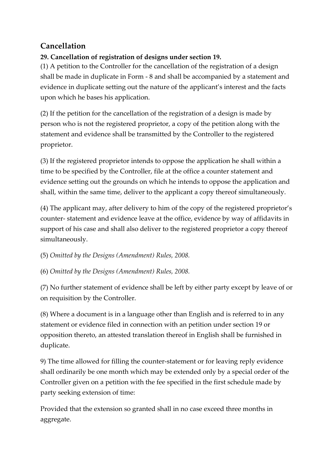# **Cancellation**

# **29. Cancellation of registration of designs under section 19.**

(1) A petition to the Controller for the cancellation of the registration of a design shall be made in duplicate in Form - 8 and shall be accompanied by a statement and evidence in duplicate setting out the nature of the applicant's interest and the facts upon which he bases his application.

(2) If the petition for the cancellation of the registration of a design is made by person who is not the registered proprietor, a copy of the petition along with the statement and evidence shall be transmitted by the Controller to the registered proprietor.

(3) If the registered proprietor intends to oppose the application he shall within a time to be specified by the Controller, file at the office a counter statement and evidence setting out the grounds on which he intends to oppose the application and shall, within the same time, deliver to the applicant a copy thereof simultaneously.

(4) The applicant may, after delivery to him of the copy of the registered proprietor's counter- statement and evidence leave at the office, evidence by way of affidavits in support of his case and shall also deliver to the registered proprietor a copy thereof simultaneously.

(5) *Omitted by the Designs (Amendment) Rules, 2008.*

(6) *Omitted by the Designs (Amendment) Rules, 2008.*

(7) No further statement of evidence shall be left by either party except by leave of or on requisition by the Controller.

(8) Where a document is in a language other than English and is referred to in any statement or evidence filed in connection with an petition under section 19 or opposition thereto, an attested translation thereof in English shall be furnished in duplicate.

9) The time allowed for filling the counter-statement or for leaving reply evidence shall ordinarily be one month which may be extended only by a special order of the Controller given on a petition with the fee specified in the first schedule made by party seeking extension of time:

Provided that the extension so granted shall in no case exceed three months in aggregate.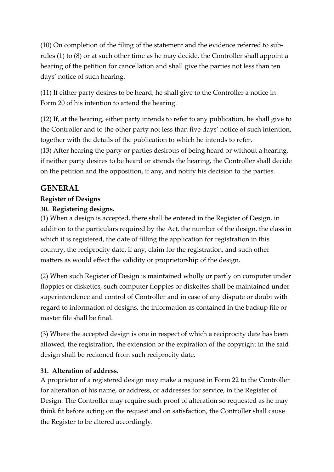(10) On completion of the filing of the statement and the evidence referred to subrules (1) to (8) or at such other time as he may decide, the Controller shall appoint a hearing of the petition for cancellation and shall give the parties not less than ten days' notice of such hearing.

(11) If either party desires to be heard, he shall give to the Controller a notice in Form 20 of his intention to attend the hearing.

(12) If, at the hearing, either party intends to refer to any publication, he shall give to the Controller and to the other party not less than five days' notice of such intention, together with the details of the publication to which he intends to refer. (13) After hearing the party or parties desirous of being heard or without a hearing, if neither party desires to be heard or attends the hearing, the Controller shall decide on the petition and the opposition, if any, and notify his decision to the parties.

# **GENERAL**

### **Register of Designs**

### **30. Registering designs.**

(1) When a design is accepted, there shall be entered in the Register of Design, in addition to the particulars required by the Act, the number of the design, the class in which it is registered, the date of filling the application for registration in this country, the reciprocity date, if any, claim for the registration, and such other matters as would effect the validity or proprietorship of the design.

(2) When such Register of Design is maintained wholly or partly on computer under floppies or diskettes, such computer floppies or diskettes shall be maintained under superintendence and control of Controller and in case of any dispute or doubt with regard to information of designs, the information as contained in the backup file or master file shall be final.

(3) Where the accepted design is one in respect of which a reciprocity date has been allowed, the registration, the extension or the expiration of the copyright in the said design shall be reckoned from such reciprocity date.

#### **31. Alteration of address.**

A proprietor of a registered design may make a request in Form 22 to the Controller for alteration of his name, or address, or addresses for service, in the Register of Design. The Controller may require such proof of alteration so requested as he may think fit before acting on the request and on satisfaction, the Controller shall cause the Register to be altered accordingly.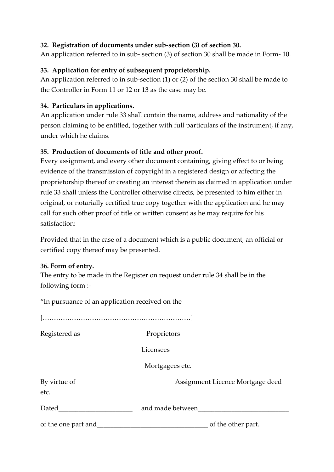### **32. Registration of documents under sub-section (3) of section 30.**

An application referred to in sub- section (3) of section 30 shall be made in Form- 10.

### **33. Application for entry of subsequent proprietorship.**

An application referred to in sub-section (1) or (2) of the section 30 shall be made to the Controller in Form 11 or 12 or 13 as the case may be.

### **34. Particulars in applications.**

An application under rule 33 shall contain the name, address and nationality of the person claiming to be entitled, together with full particulars of the instrument, if any, under which he claims.

### **35. Production of documents of title and other proof.**

Every assignment, and every other document containing, giving effect to or being evidence of the transmission of copyright in a registered design or affecting the proprietorship thereof or creating an interest therein as claimed in application under rule 33 shall unless the Controller otherwise directs, be presented to him either in original, or notarially certified true copy together with the application and he may call for such other proof of title or written consent as he may require for his satisfaction:

Provided that in the case of a document which is a public document, an official or certified copy thereof may be presented.

#### **36. Form of entry.**

The entry to be made in the Register on request under rule 34 shall be in the following form :-

"In pursuance of an application received on the […………………………………………………………] Registered as Proprietors Licensees Mortgagees etc. By virtue of **Assignment Licence Mortgage deed** etc. Dated\_\_\_\_\_\_\_\_\_\_\_\_\_\_\_\_\_\_\_\_\_\_ and made between\_\_\_\_\_\_\_\_\_\_\_\_\_\_\_\_\_\_\_\_\_\_\_\_\_\_\_ of the one part and\_\_\_\_\_\_\_\_\_\_\_\_\_\_\_\_\_\_\_\_\_\_\_\_\_\_\_\_\_\_\_\_\_ of the other part.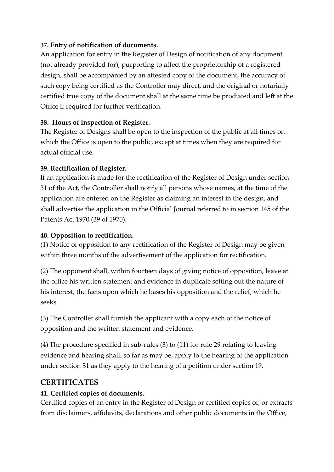### **37. Entry of notification of documents.**

An application for entry in the Register of Design of notification of any document (not already provided for), purporting to affect the proprietorship of a registered design, shall be accompanied by an attested copy of the document, the accuracy of such copy being certified as the Controller may direct, and the original or notarially certified true copy of the document shall at the same time be produced and left at the Office if required for further verification.

### **38. Hours of inspection of Register.**

The Register of Designs shall be open to the inspection of the public at all times on which the Office is open to the public, except at times when they are required for actual official use.

### **39. Rectification of Register.**

If an application is made for the rectification of the Register of Design under section 31 of the Act, the Controller shall notify all persons whose names, at the time of the application are entered on the Register as claiming an interest in the design, and shall advertise the application in the Official Journal referred to in section 145 of the Patents Act 1970 (39 of 1970).

### **40. Opposition to rectification.**

(1) Notice of opposition to any rectification of the Register of Design may be given within three months of the advertisement of the application for rectification.

(2) The opponent shall, within fourteen days of giving notice of opposition, leave at the office his written statement and evidence in duplicate setting out the nature of his interest, the facts upon which he bases his opposition and the relief, which he seeks.

(3) The Controller shall furnish the applicant with a copy each of the notice of opposition and the written statement and evidence.

(4) The procedure specified in sub-rules (3) to (11) for rule 29 relating to leaving evidence and hearing shall, so far as may be, apply to the hearing of the application under section 31 as they apply to the hearing of a petition under section 19.

# **CERTIFICATES**

### **41. Certified copies of documents.**

Certified copies of an entry in the Register of Design or certified copies of, or extracts from disclaimers, affidavits, declarations and other public documents in the Office,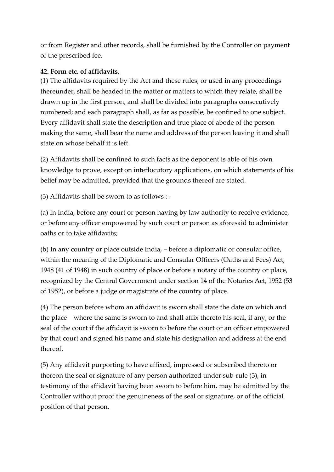or from Register and other records, shall be furnished by the Controller on payment of the prescribed fee.

### **42. Form etc. of affidavits.**

(1) The affidavits required by the Act and these rules, or used in any proceedings thereunder, shall be headed in the matter or matters to which they relate, shall be drawn up in the first person, and shall be divided into paragraphs consecutively numbered; and each paragraph shall, as far as possible, be confined to one subject. Every affidavit shall state the description and true place of abode of the person making the same, shall bear the name and address of the person leaving it and shall state on whose behalf it is left.

(2) Affidavits shall be confined to such facts as the deponent is able of his own knowledge to prove, except on interlocutory applications, on which statements of his belief may be admitted, provided that the grounds thereof are stated.

(3) Affidavits shall be sworn to as follows :-

(a) In India, before any court or person having by law authority to receive evidence, or before any officer empowered by such court or person as aforesaid to administer oaths or to take affidavits;

(b) In any country or place outside India, – before a diplomatic or consular office, within the meaning of the Diplomatic and Consular Officers (Oaths and Fees) Act, 1948 (41 of 1948) in such country of place or before a notary of the country or place, recognized by the Central Government under section 14 of the Notaries Act, 1952 (53 of 1952), or before a judge or magistrate of the country of place.

(4) The person before whom an affidavit is sworn shall state the date on which and the place where the same is sworn to and shall affix thereto his seal, if any, or the seal of the court if the affidavit is sworn to before the court or an officer empowered by that court and signed his name and state his designation and address at the end thereof.

(5) Any affidavit purporting to have affixed, impressed or subscribed thereto or thereon the seal or signature of any person authorized under sub-rule (3), in testimony of the affidavit having been sworn to before him, may be admitted by the Controller without proof the genuineness of the seal or signature, or of the official position of that person.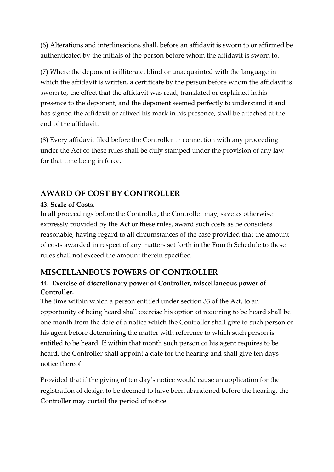(6) Alterations and interlineations shall, before an affidavit is sworn to or affirmed be authenticated by the initials of the person before whom the affidavit is sworn to.

(7) Where the deponent is illiterate, blind or unacquainted with the language in which the affidavit is written, a certificate by the person before whom the affidavit is sworn to, the effect that the affidavit was read, translated or explained in his presence to the deponent, and the deponent seemed perfectly to understand it and has signed the affidavit or affixed his mark in his presence, shall be attached at the end of the affidavit.

(8) Every affidavit filed before the Controller in connection with any proceeding under the Act or these rules shall be duly stamped under the provision of any law for that time being in force.

# **AWARD OF COST BY CONTROLLER**

### **43. Scale of Costs.**

In all proceedings before the Controller, the Controller may, save as otherwise expressly provided by the Act or these rules, award such costs as he considers reasonable, having regard to all circumstances of the case provided that the amount of costs awarded in respect of any matters set forth in the Fourth Schedule to these rules shall not exceed the amount therein specified.

# **MISCELLANEOUS POWERS OF CONTROLLER**

# **44. Exercise of discretionary power of Controller, miscellaneous power of Controller.**

The time within which a person entitled under section 33 of the Act, to an opportunity of being heard shall exercise his option of requiring to be heard shall be one month from the date of a notice which the Controller shall give to such person or his agent before determining the matter with reference to which such person is entitled to be heard. If within that month such person or his agent requires to be heard, the Controller shall appoint a date for the hearing and shall give ten days notice thereof:

Provided that if the giving of ten day's notice would cause an application for the registration of design to be deemed to have been abandoned before the hearing, the Controller may curtail the period of notice.